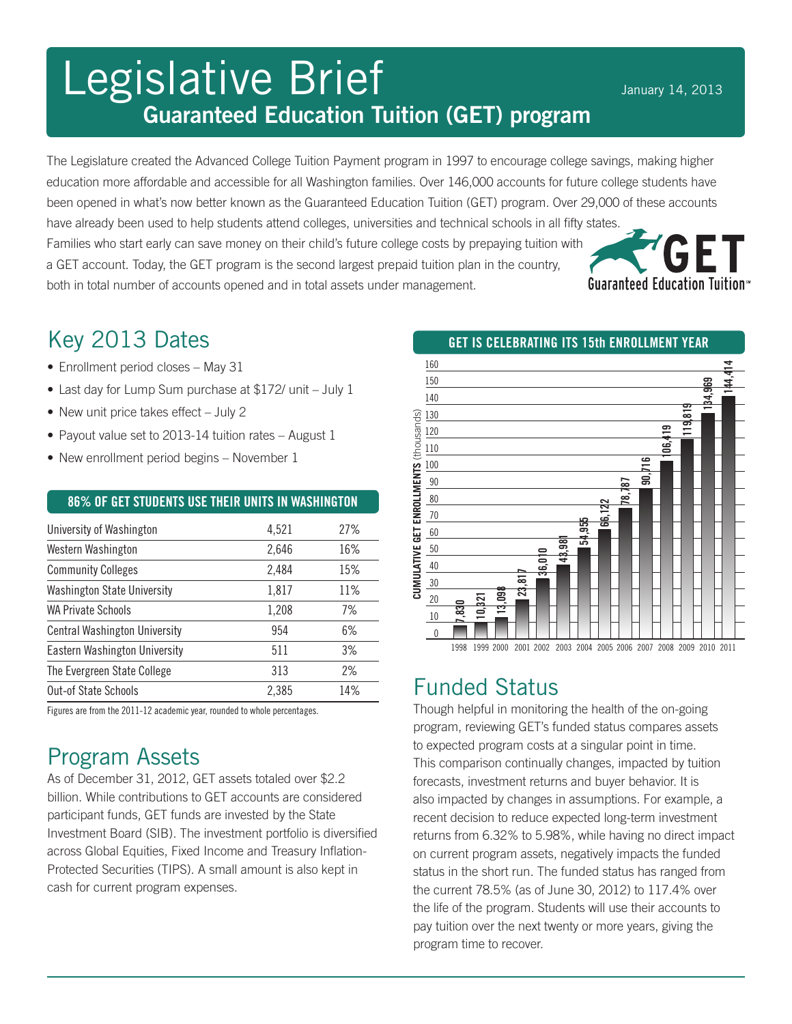# Legislative Brief January 14, 2013 Guaranteed Education Tuition (GET) program

The Legislature created the Advanced College Tuition Payment program in 1997 to encourage college savings, making higher education more affordable and accessible for all Washington families. Over 146,000 accounts for future college students have been opened in what's now better known as the Guaranteed Education Tuition (GET) program. Over 29,000 of these accounts have already been used to help students attend colleges, universities and technical schools in all fifty states. Families who start early can save money on their child's future college costs by prepaying tuition with a GET account. Today, the GET program is the second largest prepaid tuition plan in the country, **Guaranteed Education Tuition**<sup>®</sup> both in total number of accounts opened and in total assets under management.

### Key 2013 Dates

- Enrollment period closes May 31
- Last day for Lump Sum purchase at \$172/ unit July 1
- New unit price takes effect July 2
- Payout value set to 2013-14 tuition rates August 1
- New enrollment period begins November 1

| 86% OF GET STUDENTS USE THEIR UNITS IN WASHINGTON |       |     |
|---------------------------------------------------|-------|-----|
| University of Washington                          | 4,521 | 27% |
| Western Washington                                | 2,646 | 16% |
| <b>Community Colleges</b>                         | 2,484 | 15% |
| <b>Washington State University</b>                | 1,817 | 11% |
| <b>WA Private Schools</b>                         | 1,208 | 7%  |
| <b>Central Washington University</b>              | 954   | 6%  |
| <b>Eastern Washington University</b>              | 511   | 3%  |
| The Evergreen State College                       | 313   | 2%  |

Figures are from the 2011-12 academic year, rounded to whole percentages.

Out-of State Schools 2.385

## Program Assets

As of December 31, 2012, GET assets totaled over \$2.2 billion. While contributions to GET accounts are considered participant funds, GET funds are invested by the State Investment Board (SIB). The investment portfolio is diversified across Global Equities, Fixed Income and Treasury Inflation-Protected Securities (TIPS). A small amount is also kept in cash for current program expenses.

GET is celebrating its 15th enrollment year 160 **cumulative get enrollments** (thousands)<br>  $\frac{1}{6}$  |  $\frac{1}{60}$  |  $\frac{1}{60}$  |  $\frac{1}{60}$  |  $\frac{1}{60}$  |  $\frac{1}{60}$  |  $\frac{1}{60}$  |  $\frac{1}{60}$  |  $\frac{1}{60}$  |  $\frac{1}{60}$  |  $\frac{1}{60}$  |  $\frac{1}{60}$  |  $\frac{1}{60}$  |  $\frac{1}{60}$   $1,830$ <br>  $10,821$ <br>  $13,098$ <br>  $13,098$ <br>  $1999 2000$   $2001 2002$ <br>  $2003 2004 2003 2004$ <br>  $2004 2005 2007 2008 2007 2008 2009 2010 2011$ <br>  $106,419$ <br>  $119,819$ <br>  $134,989$ <br>  $144,414$ 150 140 130 (thousands) 120 110 100 CUMULATIVE GET ENROLLMENTS 90 80 70 60 50 40 30 20 10 0

### Funded Status

Though helpful in monitoring the health of the on-going program, reviewing GET's funded status compares assets to expected program costs at a singular point in time. This comparison continually changes, impacted by tuition forecasts, investment returns and buyer behavior. It is also impacted by changes in assumptions. For example, a recent decision to reduce expected long-term investment returns from 6.32% to 5.98%, while having no direct impact on current program assets, negatively impacts the funded status in the short run. The funded status has ranged from the current 78.5% (as of June 30, 2012) to 117.4% over the life of the program. Students will use their accounts to pay tuition over the next twenty or more years, giving the program time to recover.